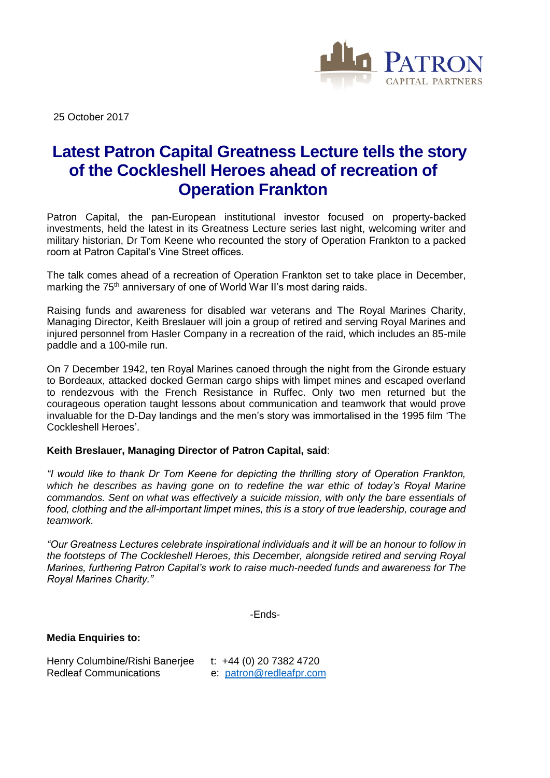

25 October 2017

## **Latest Patron Capital Greatness Lecture tells the story of the Cockleshell Heroes ahead of recreation of Operation Frankton**

Patron Capital, the pan-European institutional investor focused on property-backed investments, held the latest in its Greatness Lecture series last night, welcoming writer and military historian, Dr Tom Keene who recounted the story of Operation Frankton to a packed room at Patron Capital's Vine Street offices.

The talk comes ahead of a recreation of Operation Frankton set to take place in December, marking the 75<sup>th</sup> anniversary of one of World War II's most daring raids.

Raising funds and awareness for disabled war veterans and The Royal Marines Charity, Managing Director, Keith Breslauer will join a group of retired and serving Royal Marines and injured personnel from Hasler Company in a recreation of the raid, which includes an 85-mile paddle and a 100-mile run.

On 7 December 1942, ten Royal Marines canoed through the night from the Gironde estuary to Bordeaux, attacked docked German cargo ships with limpet mines and escaped overland to rendezvous with the French Resistance in Ruffec. Only two men returned but the courageous operation taught lessons about communication and teamwork that would prove invaluable for the D-Day landings and the men's story was immortalised in the 1995 film 'The Cockleshell Heroes'.

## **Keith Breslauer, Managing Director of Patron Capital, said**:

*"I would like to thank Dr Tom Keene for depicting the thrilling story of Operation Frankton, which he describes as having gone on to redefine the war ethic of today's Royal Marine commandos. Sent on what was effectively a suicide mission, with only the bare essentials of*  food, clothing and the all-important limpet mines, this is a story of true leadership, courage and *teamwork.*

*"Our Greatness Lectures celebrate inspirational individuals and it will be an honour to follow in the footsteps of The Cockleshell Heroes, this December, alongside retired and serving Royal Marines, furthering Patron Capital's work to raise much-needed funds and awareness for The Royal Marines Charity."*

-Ends-

**Media Enquiries to:**

Henry Columbine/Rishi Banerjee t: +44 (0) 20 7382 4720<br>Redleaf Communications e: patron@redleafor.com

e: patron@redleafpr.com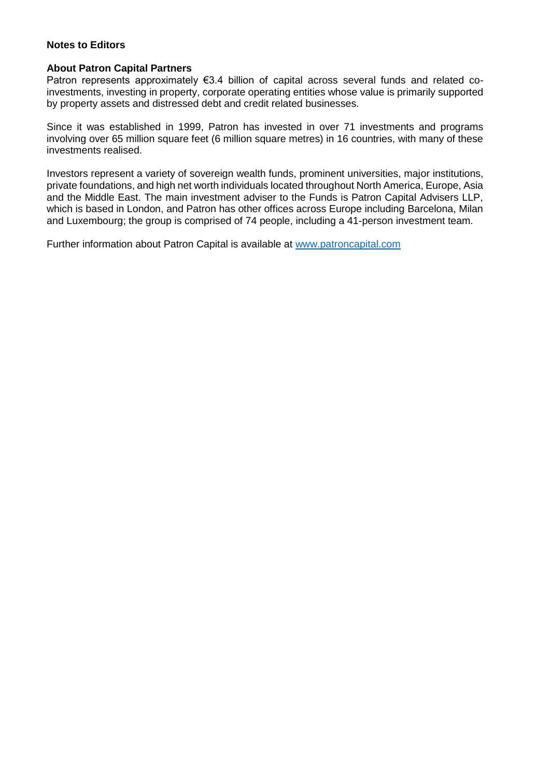## **Notes to Editors**

## **About Patron Capital Partners**

Patron represents approximately €3.4 billion of capital across several funds and related coinvestments, investing in property, corporate operating entities whose value is primarily supported by property assets and distressed debt and credit related businesses.

Since it was established in 1999, Patron has invested in over 71 investments and programs involving over 65 million square feet (6 million square metres) in 16 countries, with many of these investments realised.

Investors represent a variety of sovereign wealth funds, prominent universities, major institutions, private foundations, and high net worth individuals located throughout North America, Europe, Asia and the Middle East. The main investment adviser to the Funds is Patron Capital Advisers LLP, which is based in London, and Patron has other offices across Europe including Barcelona, Milan and Luxembourg; the group is comprised of 74 people, including a 41-person investment team.

Further information about Patron Capital is available at [www.patroncapital.com](http://www.patroncapital.com/)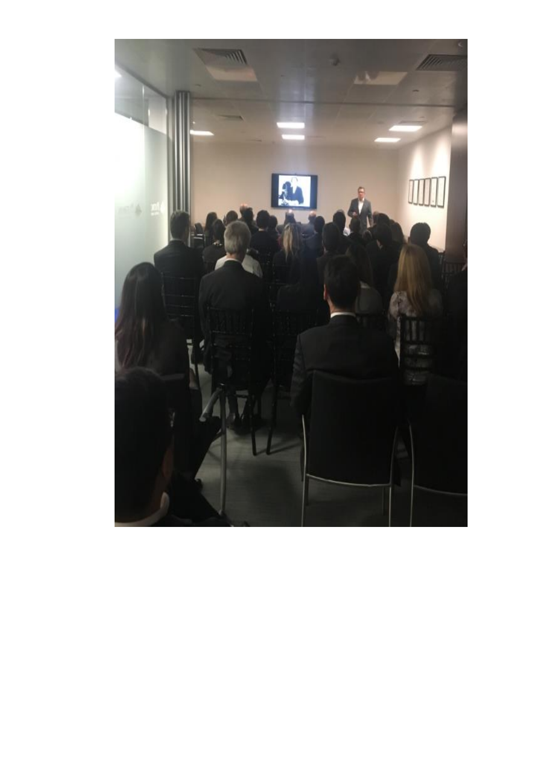